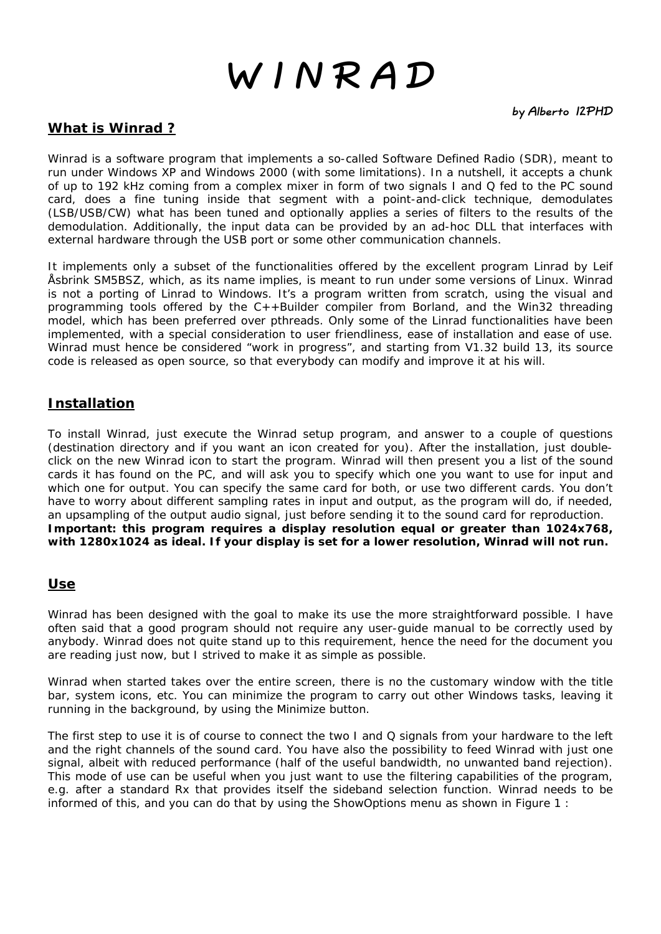# **W I N R A D**

# **What is Winrad ?**

Winrad is a software program that implements a so-called Software Defined Radio (SDR), meant to run under Windows XP and Windows 2000 (with some limitations). In a nutshell, it accepts a chunk of up to 192 kHz coming from a complex mixer in form of two signals I and Q fed to the PC sound card, does a fine tuning inside that segment with a point-and-click technique, demodulates (LSB/USB/CW) what has been tuned and optionally applies a series of filters to the results of the demodulation. Additionally, the input data can be provided by an ad-hoc DLL that interfaces with external hardware through the USB port or some other communication channels.

It implements only a subset of the functionalities offered by the excellent program Linrad by Leif Åsbrink SM5BSZ, which, as its name implies, is meant to run under some versions of Linux. Winrad is not a porting of Linrad to Windows. It's a program written from scratch, using the visual and programming tools offered by the C++Builder compiler from Borland, and the Win32 threading model, which has been preferred over pthreads. Only some of the Linrad functionalities have been implemented, with a special consideration to user friendliness, ease of installation and ease of use. Winrad must hence be considered "work in progress", and starting from V1.32 build 13, its source code is released as open source, so that everybody can modify and improve it at his will.

# **Installation**

To install Winrad, just execute the Winrad setup program, and answer to a couple of questions (destination directory and if you want an icon created for you). After the installation, just doubleclick on the new Winrad icon to start the program. Winrad will then present you a list of the sound cards it has found on the PC, and will ask you to specify which one you want to use for input and which one for output. You can specify the same card for both, or use two different cards. You don't have to worry about different sampling rates in input and output, as the program will do, if needed, an upsampling of the output audio signal, just before sending it to the sound card for reproduction. **Important: this program requires a display resolution equal or greater than 1024x768, with 1280x1024 as ideal. If your display is set for a lower resolution, Winrad will not run.** 

# **Use**

Winrad has been designed with the goal to make its use the more straightforward possible. I have often said that a good program should not require any user-guide manual to be correctly used by anybody. Winrad does not quite stand up to this requirement, hence the need for the document you are reading just now, but I strived to make it as simple as possible.

Winrad when started takes over the entire screen, there is no the customary window with the title bar, system icons, etc. You can minimize the program to carry out other Windows tasks, leaving it running in the background, by using the Minimize button.

The first step to use it is of course to connect the two I and Q signals from your hardware to the left and the right channels of the sound card. You have also the possibility to feed Winrad with just one signal, albeit with reduced performance (half of the useful bandwidth, no unwanted band rejection). This mode of use can be useful when you just want to use the filtering capabilities of the program, e.g. after a standard Rx that provides itself the sideband selection function. Winrad needs to be informed of this, and you can do that by using the ShowOptions menu as shown in Figure 1 :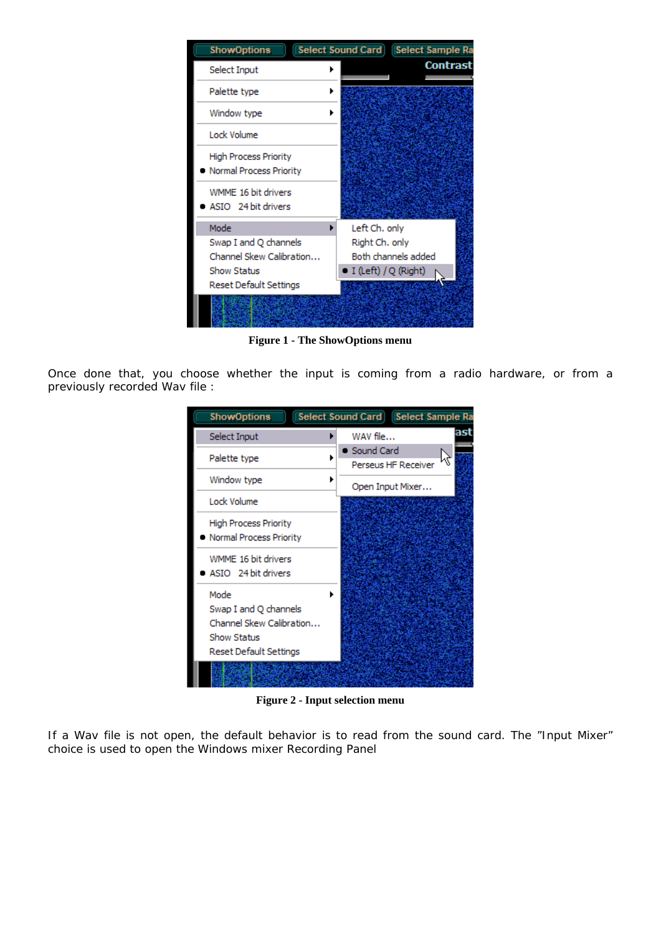

**Figure 1 - The ShowOptions menu**

Once done that, you choose whether the input is coming from a radio hardware, or from a previously recorded Wav file :

| <b>ShowOptions</b>                                                                                 | Select Sound Card   Select Sample Ra |
|----------------------------------------------------------------------------------------------------|--------------------------------------|
| Select Input                                                                                       | ast<br>WAV file                      |
| Palette type                                                                                       | Sound Card<br>Perseus HF Receiver    |
| Window type                                                                                        | Open Input Mixer                     |
| Lock Volume                                                                                        |                                      |
| <b>High Process Priority</b><br>Normal Process Priority                                            |                                      |
| WMME 16 bit drivers<br>ASIO 24 bit drivers                                                         |                                      |
| Mode<br>Swap I and Q channels<br>Channel Skew Calibration<br>Show Status<br>Reset Default Settings |                                      |
|                                                                                                    |                                      |

**Figure 2 - Input selection menu** 

If a Wav file is not open, the default behavior is to read from the sound card. The "Input Mixer" choice is used to open the Windows mixer Recording Panel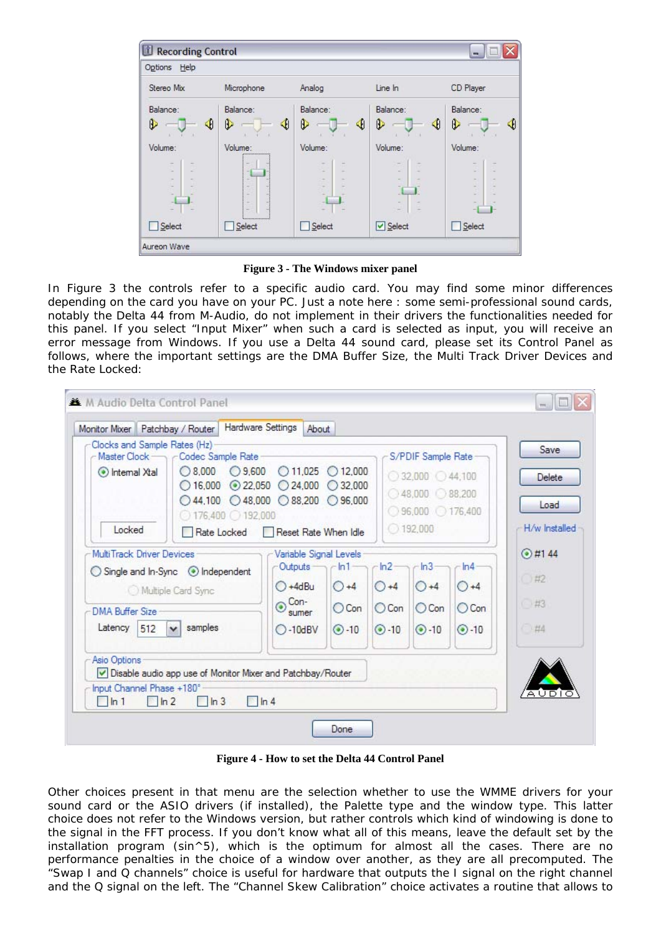

**Figure 3 - The Windows mixer panel**

In Figure 3 the controls refer to a specific audio card. You may find some minor differences depending on the card you have on your PC. Just a note here : some semi-professional sound cards, notably the Delta 44 from M-Audio, do not implement in their drivers the functionalities needed for this panel. If you select "Input Mixer" when such a card is selected as input, you will receive an error message from Windows. If you use a Delta 44 sound card, please set its Control Panel as follows, where the important settings are the DMA Buffer Size, the Multi Track Driver Devices and the Rate Locked:

| Monitor Mixer Patchbay / Router<br>Clocks and Sample Rates (Hz)       |                                                                                                                                         | <b>Hardware Settings</b><br>About                                                                |                                             |                                           |                                                                                                       |                                           | Save                              |
|-----------------------------------------------------------------------|-----------------------------------------------------------------------------------------------------------------------------------------|--------------------------------------------------------------------------------------------------|---------------------------------------------|-------------------------------------------|-------------------------------------------------------------------------------------------------------|-------------------------------------------|-----------------------------------|
| Master Clock<br>lntemal Xtal<br>Locked                                | Codec Sample Rate-<br>$\bigcirc$ 8.000<br>$\bigcirc$ 16,000<br>$\bigcirc$ 44,100 $\bigcirc$ 48,000<br>$0176,400$ 192,000<br>Rate Locked | $O$ 9,600<br>$O$ 11.025<br>$\odot$ 22,050<br>24,000<br>$\bigcirc$ 88,200<br>Reset Rate When Idle | 012.000<br>232,000<br>◯96,000               |                                           | S/PDIF Sample Rate<br>$032,000$ $044,100$<br>$048,000$ $088,200$<br>◯ 96,000 ◯ 176,400<br>$O$ 192,000 |                                           | Delete<br>Load<br>H/w Installed   |
| MultiTrack Driver Devices<br><b>DMA Buffer Size</b><br>Latency<br>512 | Multiple Card Sync<br>samples<br>$\checkmark$                                                                                           | Variable Signal Levels<br>Outputs<br>$O + 4dBu$<br>Con-<br>$\odot$<br>sumer<br>$O-10$ dBV        | $-ln1$<br>$O + 4$<br>$O$ Con<br>$\odot$ -10 | ln2<br>$() + 4$<br>$O$ Con<br>$\odot$ -10 | $-ln3$<br>$() + 4$<br>$O$ Con<br>$\odot$ -10                                                          | ln4<br>$() + 4$<br>$O$ Con<br>$\odot$ -10 | $@$ #144<br>0#2<br>$+43$<br>$+44$ |
| Asio Options<br>Input Channel Phase +180°<br>$\ln 1$<br>$\ln 2$       | $\ln 3$                                                                                                                                 | Disable audio app use of Monitor Mixer and Patchbay/Router<br>$\ln 4$                            |                                             |                                           |                                                                                                       |                                           |                                   |

**Figure 4 - How to set the Delta 44 Control Panel**

Other choices present in that menu are the selection whether to use the WMME drivers for your sound card or the ASIO drivers (if installed), the Palette type and the window type. This latter choice does not refer to the Windows version, but rather controls which kind of windowing is done to the signal in the FFT process. If you don't know what all of this means, leave the default set by the installation program (sin^5), which is the optimum for almost all the cases. There are no performance penalties in the choice of a window over another, as they are all precomputed. The "Swap I and Q channels" choice is useful for hardware that outputs the I signal on the right channel and the Q signal on the left. The "Channel Skew Calibration" choice activates a routine that allows to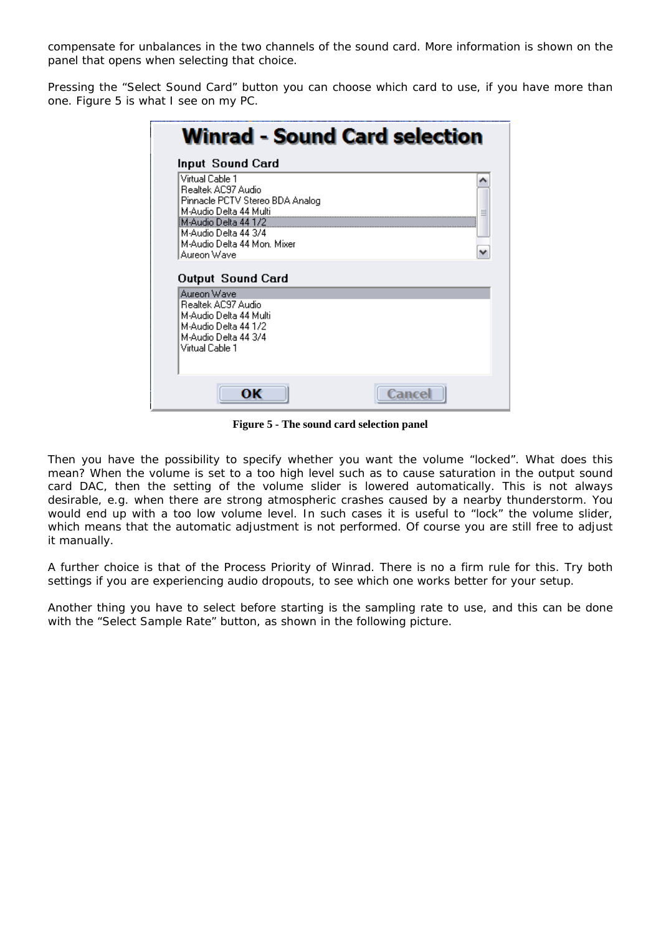compensate for unbalances in the two channels of the sound card. More information is shown on the panel that opens when selecting that choice.

Pressing the "Select Sound Card" button you can choose which card to use, if you have more than one. Figure 5 is what I see on my PC.

|                                                                                                                                                                                                                              | Winrad - Sound Card selection |
|------------------------------------------------------------------------------------------------------------------------------------------------------------------------------------------------------------------------------|-------------------------------|
| Input Sound Card                                                                                                                                                                                                             |                               |
| Virtual Cable 1<br>Realtek AC97 Audio<br>Pinnacle PCTV Stereo BDA Analog<br>M-Audio Delta 44 Multi<br>M-Audio Delta 44 1/2<br>M-Audio Delta 44 3/4<br>M-Audio Delta 44 Mon. Mixer<br>Aureon Wave<br><b>Output Sound Card</b> |                               |
| Aureon Wave<br>Bealtek AC97 Audio<br>M-Audio Delta 44 Multi<br>M-Audio Delta 44 172<br>M-Audio Delta 44 3/4<br>Virtual Cable 1                                                                                               |                               |
| ок                                                                                                                                                                                                                           | Cance                         |

**Figure 5 - The sound card selection panel** 

Then you have the possibility to specify whether you want the volume "locked". What does this mean? When the volume is set to a too high level such as to cause saturation in the output sound card DAC, then the setting of the volume slider is lowered automatically. This is not always desirable, e.g. when there are strong atmospheric crashes caused by a nearby thunderstorm. You would end up with a too low volume level. In such cases it is useful to "lock" the volume slider, which means that the automatic adjustment is not performed. Of course you are still free to adjust it manually.

A further choice is that of the Process Priority of Winrad. There is no a firm rule for this. Try both settings if you are experiencing audio dropouts, to see which one works better for your setup.

Another thing you have to select before starting is the sampling rate to use, and this can be done with the "Select Sample Rate" button, as shown in the following picture.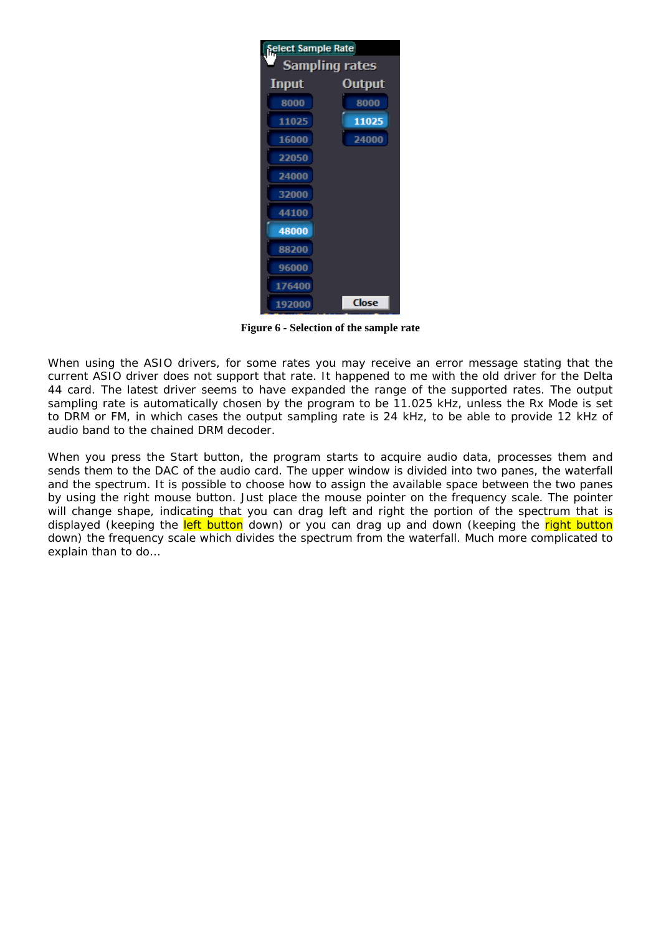

**Figure 6 - Selection of the sample rate** 

When using the ASIO drivers, for some rates you may receive an error message stating that the current ASIO driver does not support that rate. It happened to me with the old driver for the Delta 44 card. The latest driver seems to have expanded the range of the supported rates. The output sampling rate is automatically chosen by the program to be 11.025 kHz, unless the Rx Mode is set to DRM or FM, in which cases the output sampling rate is 24 kHz, to be able to provide 12 kHz of audio band to the chained DRM decoder.

When you press the Start button, the program starts to acquire audio data, processes them and sends them to the DAC of the audio card. The upper window is divided into two panes, the waterfall and the spectrum. It is possible to choose how to assign the available space between the two panes by using the right mouse button. Just place the mouse pointer on the frequency scale. The pointer will change shape, indicating that you can drag left and right the portion of the spectrum that is displayed (keeping the left button down) or you can drag up and down (keeping the right button down) the frequency scale which divides the spectrum from the waterfall. Much more complicated to explain than to do…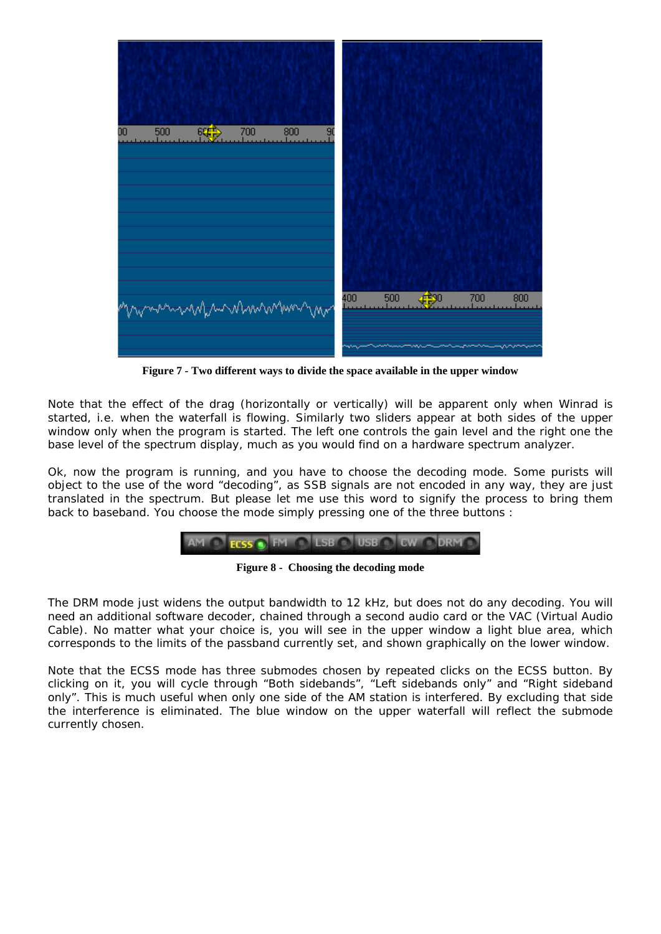

**Figure 7 - Two different ways to divide the space available in the upper window** 

Note that the effect of the drag (horizontally or vertically) will be apparent only when Winrad is started, i.e. when the waterfall is flowing. Similarly two sliders appear at both sides of the upper window only when the program is started. The left one controls the gain level and the right one the base level of the spectrum display, much as you would find on a hardware spectrum analyzer.

Ok, now the program is running, and you have to choose the decoding mode. Some purists will object to the use of the word "decoding", as SSB signals are not encoded in any way, they are just translated in the spectrum. But please let me use this word to signify the process to bring them back to baseband. You choose the mode simply pressing one of the three buttons :

$$
\mathsf{AM} \ \bullet \ \mathsf{ECSS} \ \bullet \ \mathsf{FM} \ \bullet \ \mathsf{LSB} \ \bullet \ \mathsf{USE} \ \bullet \ \mathsf{CW} \ \bullet \ \mathsf{DRM} \ \bullet
$$

**Figure 8 - Choosing the decoding mode** 

The DRM mode just widens the output bandwidth to 12 kHz, but does not do any decoding. You will need an additional software decoder, chained through a second audio card or the VAC (Virtual Audio Cable). No matter what your choice is, you will see in the upper window a light blue area, which corresponds to the limits of the passband currently set, and shown graphically on the lower window.

Note that the ECSS mode has three submodes chosen by repeated clicks on the ECSS button. By clicking on it, you will cycle through "Both sidebands", "Left sidebands only" and "Right sideband only". This is much useful when only one side of the AM station is interfered. By excluding that side the interference is eliminated. The blue window on the upper waterfall will reflect the submode currently chosen.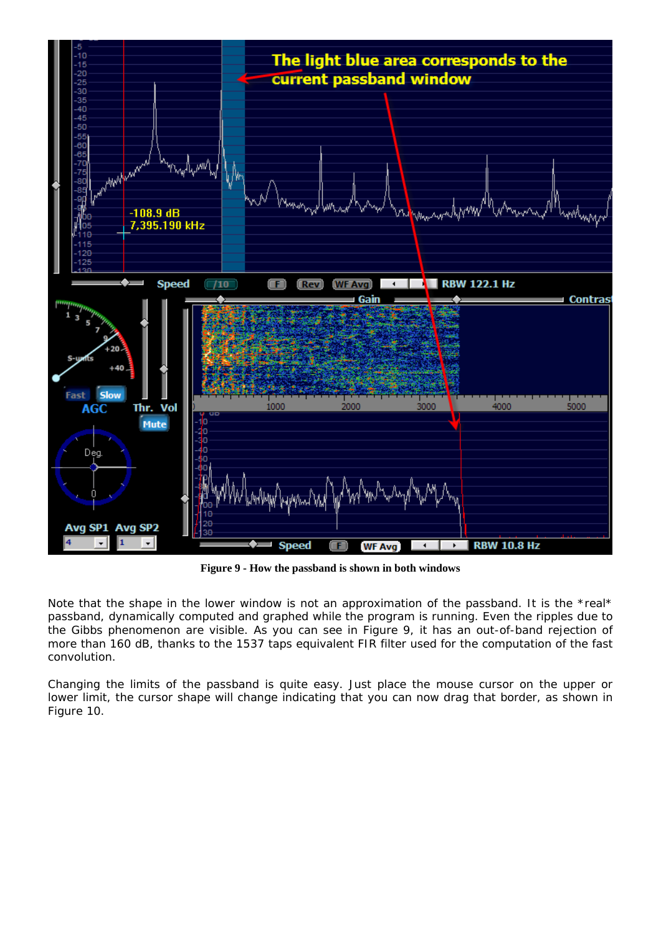

**Figure 9 - How the passband is shown in both windows** 

Note that the shape in the lower window is not an approximation of the passband. It is the \*real\* passband, dynamically computed and graphed while the program is running. Even the ripples due to the Gibbs phenomenon are visible. As you can see in Figure 9, it has an out-of-band rejection of more than 160 dB, thanks to the 1537 taps equivalent FIR filter used for the computation of the fast convolution.

Changing the limits of the passband is quite easy. Just place the mouse cursor on the upper or lower limit, the cursor shape will change indicating that you can now drag that border, as shown in Figure 10.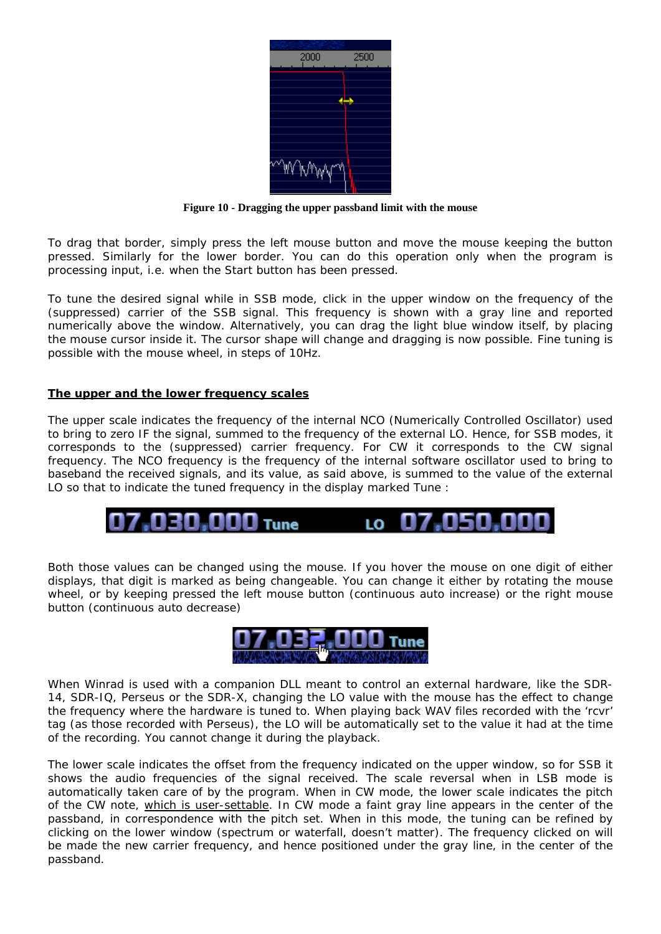| 2000 | 2500 |
|------|------|
|      |      |
|      |      |
|      |      |
|      |      |
|      |      |
|      |      |

**Figure 10 - Dragging the upper passband limit with the mouse** 

To drag that border, simply press the left mouse button and move the mouse keeping the button pressed. Similarly for the lower border. You can do this operation only when the program is processing input, i.e. when the Start button has been pressed.

To tune the desired signal while in SSB mode, click in the upper window on the frequency of the (suppressed) carrier of the SSB signal. This frequency is shown with a gray line and reported numerically above the window. Alternatively, you can drag the light blue window itself, by placing the mouse cursor inside it. The cursor shape will change and dragging is now possible. Fine tuning is possible with the mouse wheel, in steps of 10Hz.

## **The upper and the lower frequency scales**

The upper scale indicates the frequency of the internal NCO (Numerically Controlled Oscillator) used to bring to zero IF the signal, summed to the frequency of the external LO. Hence, for SSB modes, it corresponds to the (suppressed) carrier frequency. For CW it corresponds to the CW signal frequency. The NCO frequency is the frequency of the internal software oscillator used to bring to baseband the received signals, and its value, as said above, is summed to the value of the external LO so that to indicate the tuned frequency in the display marked Tune :

030,000 Tune .nsn.n LO.

Both those values can be changed using the mouse. If you hover the mouse on one digit of either displays, that digit is marked as being changeable. You can change it either by rotating the mouse wheel, or by keeping pressed the left mouse button (continuous auto increase) or the right mouse button (continuous auto decrease)



When Winrad is used with a companion DLL meant to control an external hardware, like the SDR-14, SDR-IQ, Perseus or the SDR-X, changing the LO value with the mouse has the effect to change the frequency where the hardware is tuned to. When playing back WAV files recorded with the 'rcvr' tag (as those recorded with Perseus), the LO will be automatically set to the value it had at the time of the recording. You cannot change it during the playback.

The lower scale indicates the offset from the frequency indicated on the upper window, so for SSB it shows the audio frequencies of the signal received. The scale reversal when in LSB mode is automatically taken care of by the program. When in CW mode, the lower scale indicates the pitch of the CW note, which is user-settable. In CW mode a faint gray line appears in the center of the passband, in correspondence with the pitch set. When in this mode, the tuning can be refined by clicking on the lower window (spectrum or waterfall, doesn't matter). The frequency clicked on will be made the new carrier frequency, and hence positioned under the gray line, in the center of the passband.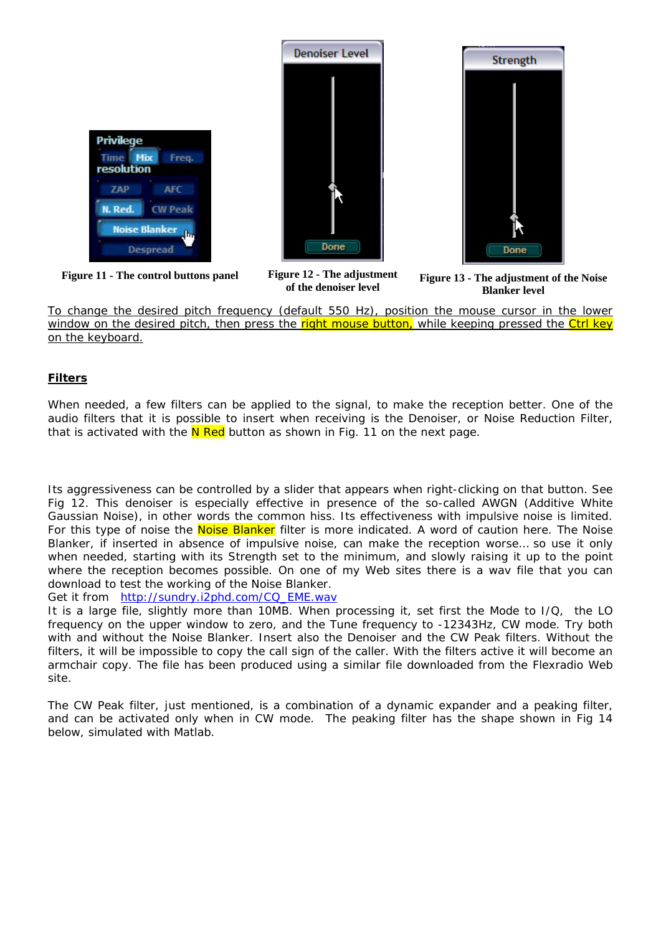





**Figure 12 - The adjustment of the denoiser level** 

Figure 11 - The control buttons panel Figure 12 - The adjustment Figure 13 - The adjustment of the Noise **Blanker level** 

To change the desired pitch frequency (default 550 Hz), position the mouse cursor in the lower window on the desired pitch, then press the right mouse button, while keeping pressed the Ctrl key on the keyboard.

# **Filters**

When needed, a few filters can be applied to the signal, to make the reception better. One of the audio filters that it is possible to insert when receiving is the Denoiser, or Noise Reduction Filter, that is activated with the  $N$  Red button as shown in Fig. 11 on the next page.

Its aggressiveness can be controlled by a slider that appears when right-clicking on that button. See Fig 12. This denoiser is especially effective in presence of the so-called AWGN (Additive White Gaussian Noise), in other words the common hiss. Its effectiveness with impulsive noise is limited. For this type of noise the Noise Blanker filter is more indicated. A word of caution here. The Noise Blanker, if inserted in absence of impulsive noise, can make the reception worse… so use it only when needed, starting with its Strength set to the minimum, and slowly raising it up to the point where the reception becomes possible. On one of my Web sites there is a wav file that you can download to test the working of the Noise Blanker.

Get it from [http://sundry.i2phd.com/CQ\\_EME.wav](http://sundry.i2phd.com/CQ_EME.wav)

It is a large file, slightly more than 10MB. When processing it, set first the Mode to I/Q, the LO frequency on the upper window to zero, and the Tune frequency to -12343Hz, CW mode. Try both with and without the Noise Blanker. Insert also the Denoiser and the CW Peak filters. Without the filters, it will be impossible to copy the call sign of the caller. With the filters active it will become an armchair copy. The file has been produced using a similar file downloaded from the Flexradio Web site.

The CW Peak filter, just mentioned, is a combination of a dynamic expander and a peaking filter, and can be activated only when in CW mode. The peaking filter has the shape shown in Fig 14 below, simulated with Matlab.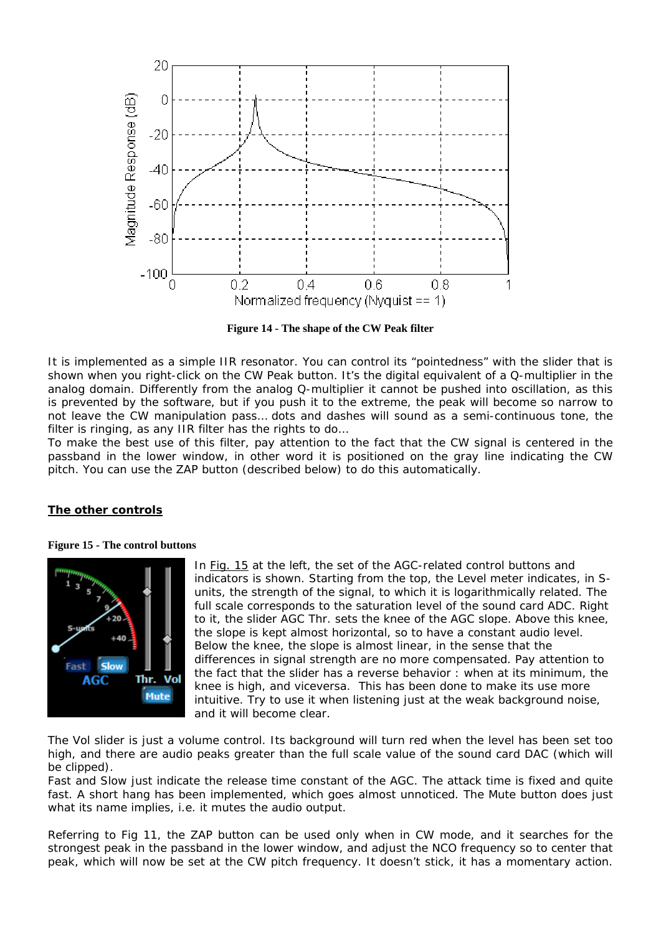

**Figure 14 - The shape of the CW Peak filter**

It is implemented as a simple IIR resonator. You can control its "pointedness" with the slider that is shown when you right-click on the CW Peak button. It's the digital equivalent of a Q-multiplier in the analog domain. Differently from the analog Q-multiplier it cannot be pushed into oscillation, as this is prevented by the software, but if you push it to the extreme, the peak will become so narrow to not leave the CW manipulation pass… dots and dashes will sound as a semi-continuous tone, the filter is ringing, as any IIR filter has the rights to do…

To make the best use of this filter, pay attention to the fact that the CW signal is centered in the passband in the lower window, in other word it is positioned on the gray line indicating the CW pitch. You can use the ZAP button (described below) to do this automatically.

## **The other controls**

#### **Figure 15 - The control buttons**



In Fig. 15 at the left, the set of the AGC-related control buttons and indicators is shown. Starting from the top, the Level meter indicates, in Sunits, the strength of the signal, to which it is logarithmically related. The full scale corresponds to the saturation level of the sound card ADC. Right to it, the slider AGC Thr. sets the knee of the AGC slope. Above this knee, the slope is kept almost horizontal, so to have a constant audio level. Below the knee, the slope is almost linear, in the sense that the differences in signal strength are no more compensated. Pay attention to the fact that the slider has a reverse behavior : when at its minimum, the knee is high, and viceversa. This has been done to make its use more intuitive. Try to use it when listening just at the weak background noise, and it will become clear.

The Vol slider is just a volume control. Its background will turn red when the level has been set too high, and there are audio peaks greater than the full scale value of the sound card DAC (which will be clipped).

Fast and Slow just indicate the release time constant of the AGC. The attack time is fixed and quite fast. A short hang has been implemented, which goes almost unnoticed. The Mute button does just what its name implies, i.e. it mutes the audio output.

Referring to Fig 11, the ZAP button can be used only when in CW mode, and it searches for the strongest peak in the passband in the lower window, and adjust the NCO frequency so to center that peak, which will now be set at the CW pitch frequency. It doesn't stick, it has a momentary action.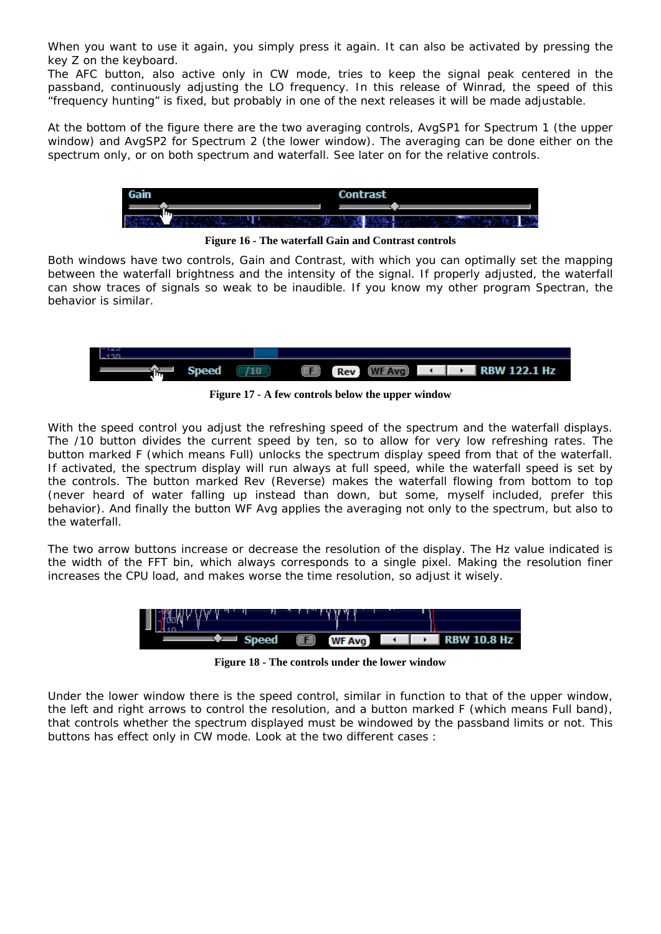When you want to use it again, you simply press it again. It can also be activated by pressing the key Z on the keyboard.

The AFC button, also active only in CW mode, tries to keep the signal peak centered in the passband, continuously adjusting the LO frequency. In this release of Winrad, the speed of this "frequency hunting" is fixed, but probably in one of the next releases it will be made adjustable.

At the bottom of the figure there are the two averaging controls, AvgSP1 for Spectrum 1 (the upper window) and AvgSP2 for Spectrum 2 (the lower window). The averaging can be done either on the spectrum only, or on both spectrum and waterfall. See later on for the relative controls.



**Figure 16 - The waterfall Gain and Contrast controls** 

Both windows have two controls, Gain and Contrast, with which you can optimally set the mapping between the waterfall brightness and the intensity of the signal. If properly adjusted, the waterfall can show traces of signals so weak to be inaudible. If you know my other program Spectran, the behavior is similar.



**Figure 17 - A few controls below the upper window**

With the speed control you adjust the refreshing speed of the spectrum and the waterfall displays. The /10 button divides the current speed by ten, so to allow for very low refreshing rates. The button marked F (which means Full) unlocks the spectrum display speed from that of the waterfall. If activated, the spectrum display will run always at full speed, while the waterfall speed is set by the controls. The button marked Rev (Reverse) makes the waterfall flowing from bottom to top (never heard of water falling up instead than down, but some, myself included, prefer this behavior). And finally the button WF Avg applies the averaging not only to the spectrum, but also to the waterfall.

The two arrow buttons increase or decrease the resolution of the display. The Hz value indicated is the width of the FFT bin, which always corresponds to a single pixel. Making the resolution finer increases the CPU load, and makes worse the time resolution, so adjust it wisely.



**Figure 18 - The controls under the lower window**

Under the lower window there is the speed control, similar in function to that of the upper window, the left and right arrows to control the resolution, and a button marked F (which means Full band), that controls whether the spectrum displayed must be windowed by the passband limits or not. This buttons has effect only in CW mode. Look at the two different cases :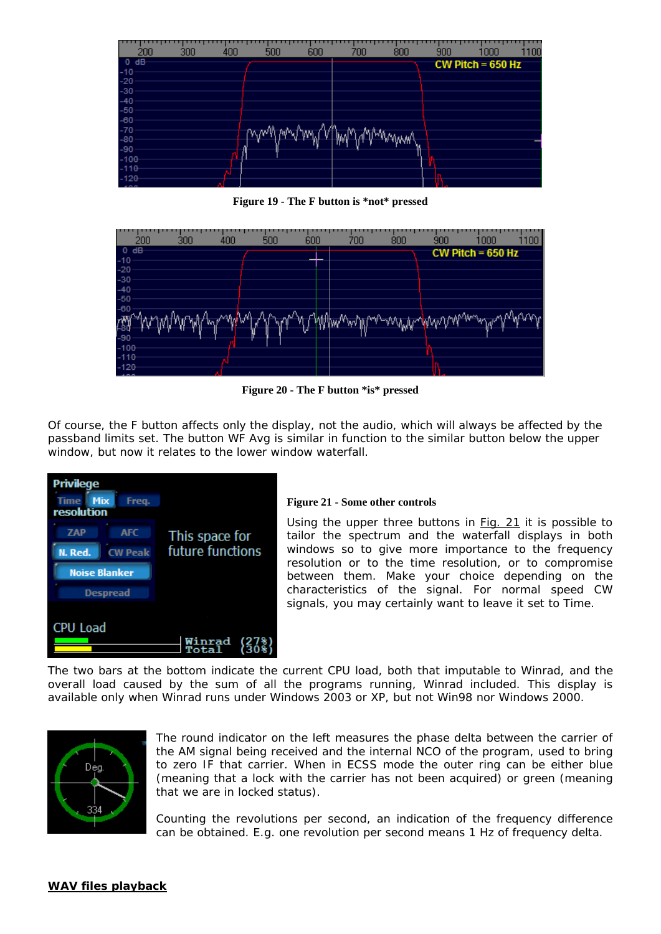

**Figure 19 - The F button is \*not\* pressed** 



**Figure 20 - The F button \*is\* pressed** 

Of course, the F button affects only the display, not the audio, which will always be affected by the passband limits set. The button WF Avg is similar in function to the similar button below the upper window, but now it relates to the lower window waterfall.



## **Figure 21 - Some other controls**

Using the upper three buttons in Fig. 21 it is possible to tailor the spectrum and the waterfall displays in both windows so to give more importance to the frequency resolution or to the time resolution, or to compromise between them. Make your choice depending on the characteristics of the signal. For normal speed CW signals, you may certainly want to leave it set to Time.

The two bars at the bottom indicate the current CPU load, both that imputable to Winrad, and the overall load caused by the sum of all the programs running, Winrad included. This display is available only when Winrad runs under Windows 2003 or XP, but not Win98 nor Windows 2000.



The round indicator on the left measures the phase delta between the carrier of the AM signal being received and the internal NCO of the program, used to bring to zero IF that carrier. When in ECSS mode the outer ring can be either blue (meaning that a lock with the carrier has not been acquired) or green (meaning that we are in locked status).

Counting the revolutions per second, an indication of the frequency difference can be obtained. E.g. one revolution per second means 1 Hz of frequency delta.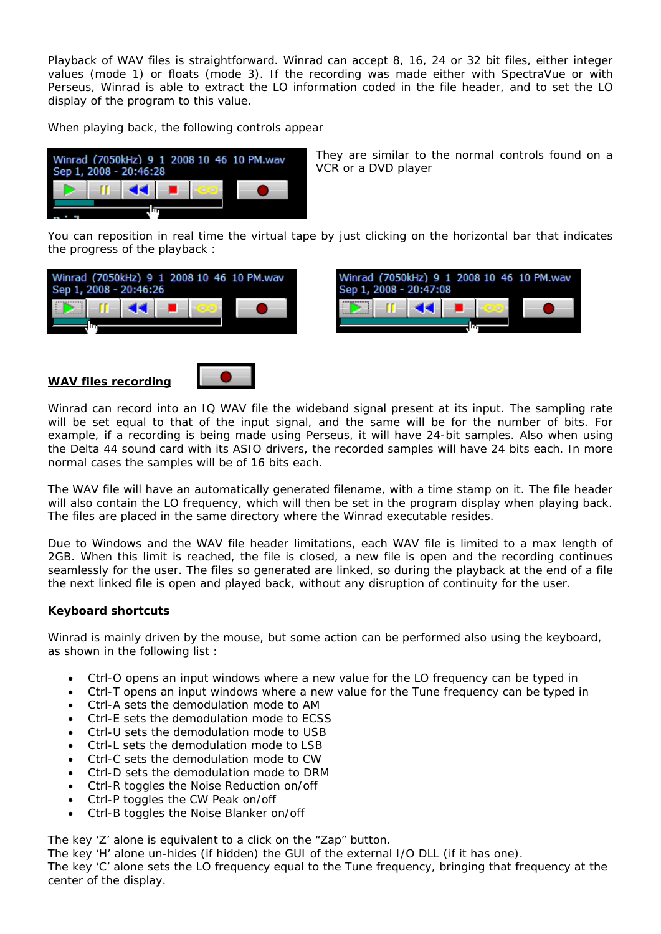Playback of WAV files is straightforward. Winrad can accept 8, 16, 24 or 32 bit files, either integer values (mode 1) or floats (mode 3). If the recording was made either with SpectraVue or with Perseus, Winrad is able to extract the LO information coded in the file header, and to set the LO display of the program to this value.

When playing back, the following controls appear

| Sep 1, 2008 - 20:46:28 |  |               |  |  | Winrad (7050kHz) 9 1 2008 10 46 10 PM.wav |
|------------------------|--|---------------|--|--|-------------------------------------------|
|                        |  | <b>KK 100</b> |  |  |                                           |
|                        |  |               |  |  |                                           |

They are similar to the normal controls found on a VCR or a DVD player

You can reposition in real time the virtual tape by just clicking on the horizontal bar that indicates the progress of the playback :





## **WAV files recording**



Winrad can record into an IQ WAV file the wideband signal present at its input. The sampling rate will be set equal to that of the input signal, and the same will be for the number of bits. For example, if a recording is being made using Perseus, it will have 24-bit samples. Also when using the Delta 44 sound card with its ASIO drivers, the recorded samples will have 24 bits each. In more normal cases the samples will be of 16 bits each.

The WAV file will have an automatically generated filename, with a time stamp on it. The file header will also contain the LO frequency, which will then be set in the program display when playing back. The files are placed in the same directory where the Winrad executable resides.

Due to Windows and the WAV file header limitations, each WAV file is limited to a max length of 2GB. When this limit is reached, the file is closed, a new file is open and the recording continues seamlessly for the user. The files so generated are linked, so during the playback at the end of a file the next linked file is open and played back, without any disruption of continuity for the user.

## **Keyboard shortcuts**

Winrad is mainly driven by the mouse, but some action can be performed also using the keyboard, as shown in the following list :

- Ctrl-O opens an input windows where a new value for the LO frequency can be typed in
- Ctrl-T opens an input windows where a new value for the Tune frequency can be typed in
- Ctrl-A sets the demodulation mode to AM
- Ctrl-E sets the demodulation mode to ECSS
- Ctrl-U sets the demodulation mode to USB
- Ctrl-L sets the demodulation mode to LSB
- Ctrl-C sets the demodulation mode to CW
- Ctrl-D sets the demodulation mode to DRM
- Ctrl-R toggles the Noise Reduction on/off
- Ctrl-P toggles the CW Peak on/off
- Ctrl-B toggles the Noise Blanker on/off

The key 'Z' alone is equivalent to a click on the "Zap" button.

The key 'H' alone un-hides (if hidden) the GUI of the external I/O DLL (if it has one).

The key 'C' alone sets the LO frequency equal to the Tune frequency, bringing that frequency at the center of the display.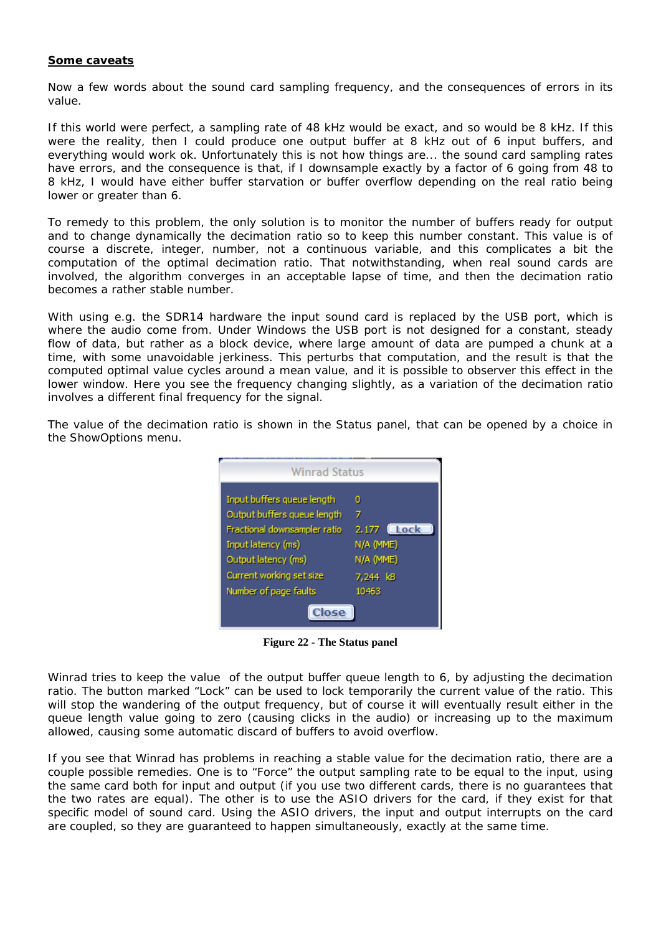### **Some caveats**

Now a few words about the sound card sampling frequency, and the consequences of errors in its value.

If this world were perfect, a sampling rate of 48 kHz would be exact, and so would be 8 kHz. If this were the reality, then I could produce one output buffer at 8 kHz out of 6 input buffers, and everything would work ok. Unfortunately this is not how things are... the sound card sampling rates have errors, and the consequence is that, if I downsample exactly by a factor of 6 going from 48 to 8 kHz, I would have either buffer starvation or buffer overflow depending on the real ratio being lower or greater than 6.

To remedy to this problem, the only solution is to monitor the number of buffers ready for output and to change dynamically the decimation ratio so to keep this number constant. This value is of course a discrete, integer, number, not a continuous variable, and this complicates a bit the computation of the optimal decimation ratio. That notwithstanding, when real sound cards are involved, the algorithm converges in an acceptable lapse of time, and then the decimation ratio becomes a rather stable number.

With using e.g. the SDR14 hardware the input sound card is replaced by the USB port, which is where the audio come from. Under Windows the USB port is not designed for a constant, steady flow of data, but rather as a block device, where large amount of data are pumped a chunk at a time, with some unavoidable jerkiness. This perturbs that computation, and the result is that the computed optimal value cycles around a mean value, and it is possible to observer this effect in the lower window. Here you see the frequency changing slightly, as a variation of the decimation ratio involves a different final frequency for the signal.

The value of the decimation ratio is shown in the Status panel, that can be opened by a choice in the ShowOptions menu.



**Figure 22 - The Status panel** 

Winrad tries to keep the value of the output buffer queue length to 6, by adjusting the decimation ratio. The button marked "Lock" can be used to lock temporarily the current value of the ratio. This will stop the wandering of the output frequency, but of course it will eventually result either in the queue length value going to zero (causing clicks in the audio) or increasing up to the maximum allowed, causing some automatic discard of buffers to avoid overflow.

If you see that Winrad has problems in reaching a stable value for the decimation ratio, there are a couple possible remedies. One is to "Force" the output sampling rate to be equal to the input, using the same card both for input and output (if you use two different cards, there is no guarantees that the two rates are equal). The other is to use the ASIO drivers for the card, if they exist for that specific model of sound card. Using the ASIO drivers, the input and output interrupts on the card are coupled, so they are guaranteed to happen simultaneously, exactly at the same time.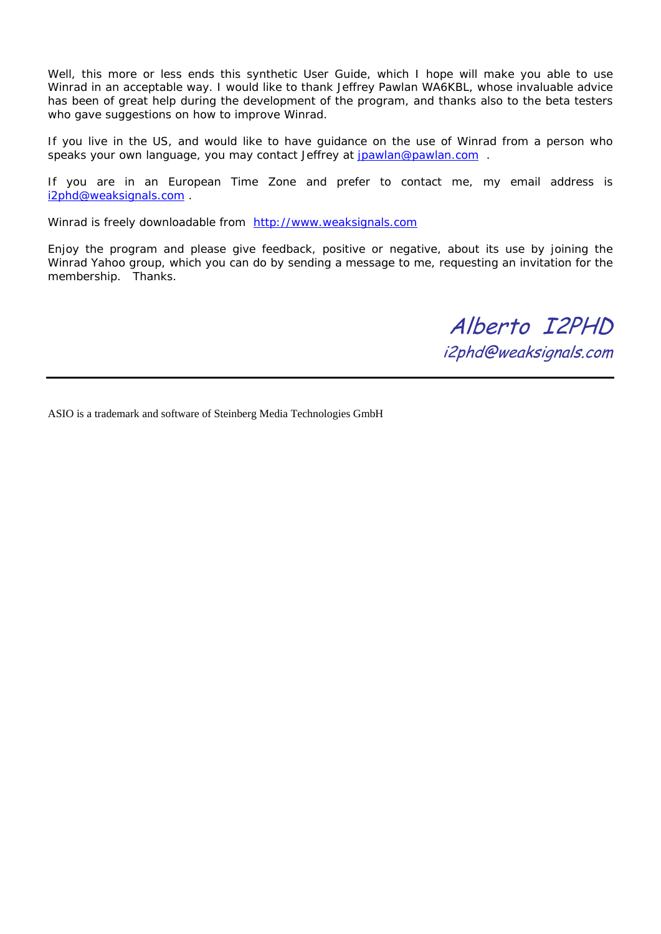Well, this more or less ends this synthetic User Guide, which I hope will make you able to use Winrad in an acceptable way. I would like to thank Jeffrey Pawlan WA6KBL, whose invaluable advice has been of great help during the development of the program, and thanks also to the beta testers who gave suggestions on how to improve Winrad.

If you live in the US, and would like to have guidance on the use of Winrad from a person who speaks your own language, you may contact Jeffrey at [jpawlan@pawlan.com](mailto:jpawlan@pawlan.com) .

If you are in an European Time Zone and prefer to contact me, my email address is [i2phd@weaksignals.com](mailto:i2phd@weaksignals.com) .

Winrad is freely downloadable from [http://www.weaksignals.com](http://www.weaksignals.com/)

Enjoy the program and please give feedback, positive or negative, about its use by joining the Winrad Yahoo group, which you can do by sending a message to me, requesting an invitation for the membership. Thanks.

> Alberto I2PHD i2phd@weaksignals.com

ASIO is a trademark and software of Steinberg Media Technologies GmbH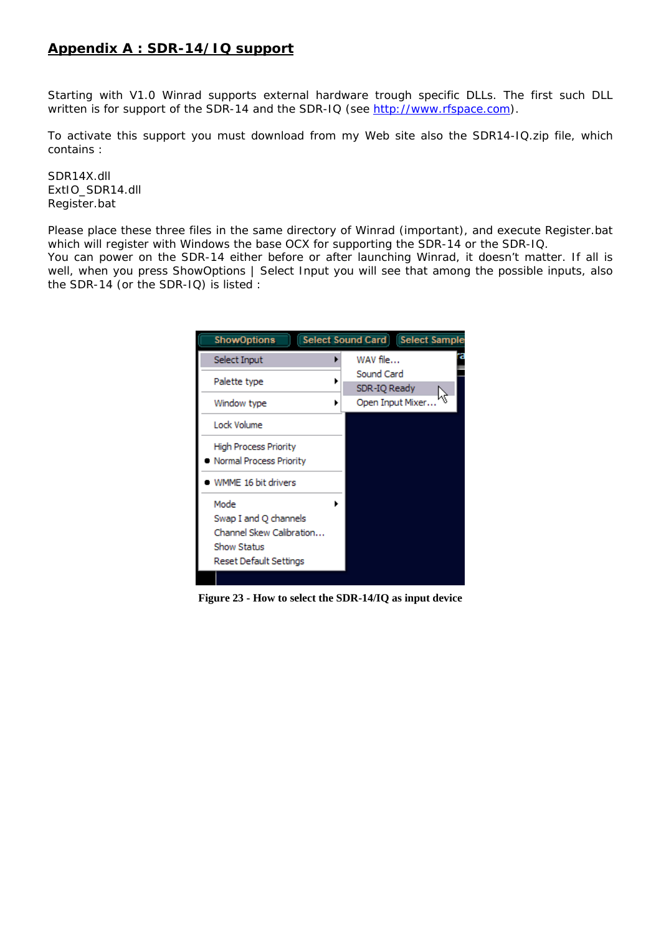# **Appendix A : SDR-14/IQ support**

Starting with V1.0 Winrad supports external hardware trough specific DLLs. The first such DLL written is for support of the SDR-14 and the SDR-IQ (see [http://www.rfspace.com\)](http://www.rfspace.com/).

To activate this support you must download from my Web site also the SDR14-IQ.zip file, which contains :

SDR14X.dll ExtIO\_SDR14.dll Register.bat

Please place these three files in the same directory of Winrad (important), and execute Register.bat which will register with Windows the base OCX for supporting the SDR-14 or the SDR-IQ.

You can power on the SDR-14 either before or after launching Winrad, it doesn't matter. If all is well, when you press ShowOptions | Select Input you will see that among the possible inputs, also the SDR-14 (or the SDR-IQ) is listed :

| <b>ShowOptions</b>                                                                                 | <b>Select Sound Card   Select Sample</b> |
|----------------------------------------------------------------------------------------------------|------------------------------------------|
| Select Input                                                                                       | WAV file                                 |
| Palette type                                                                                       | Sound Card<br>SDR-IQ Ready               |
| Window type                                                                                        | Open Input Mixer                         |
| Lock Volume                                                                                        |                                          |
| High Process Priority<br>Normal Process Priority                                                   |                                          |
| WMME 16 bit drivers                                                                                |                                          |
| Mode<br>Swap I and Q channels<br>Channel Skew Calibration<br>Show Status<br>Reset Default Settings |                                          |

**Figure 23 - How to select the SDR-14/IQ as input device**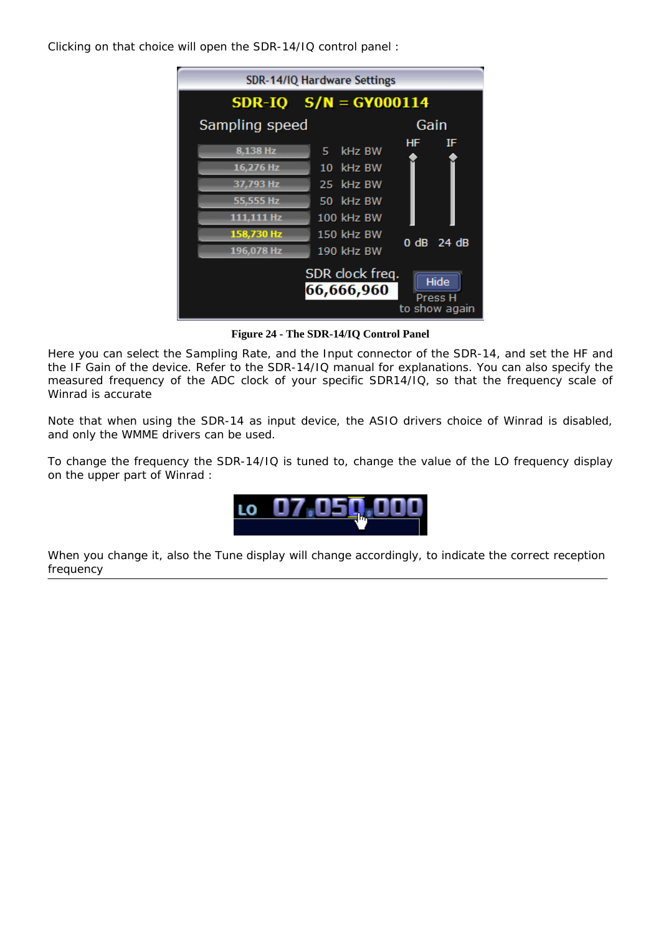Clicking on that choice will open the SDR-14/IQ control panel :

| SDR-14/IQ Hardware Settings                                       |                                           |            |  |
|-------------------------------------------------------------------|-------------------------------------------|------------|--|
|                                                                   | <b>SDR-IQ <math>S/N = GY000114</math></b> |            |  |
| Sampling speed                                                    |                                           | Gain       |  |
| 8.138 Hz                                                          | kHz BW<br>5.                              | HF.<br>IF  |  |
| 16.276 Hz                                                         | 10 kHz BW                                 |            |  |
| 37,793 Hz                                                         | 25 kHz BW                                 |            |  |
| 55.555 Hz                                                         | 50 kHz BW                                 |            |  |
| 111.111 Hz                                                        | 100 kHz BW                                |            |  |
| 158,730 Hz                                                        | 150 kHz BW                                | 0 dB 24 dB |  |
| 196,078 Hz                                                        | 190 kHz BW                                |            |  |
| SDR clock freq.<br>Hide<br>66,666,960<br>Press H<br>to show again |                                           |            |  |

**Figure 24 - The SDR-14/IQ Control Panel** 

Here you can select the Sampling Rate, and the Input connector of the SDR-14, and set the HF and the IF Gain of the device. Refer to the SDR-14/IQ manual for explanations. You can also specify the measured frequency of the ADC clock of your specific SDR14/IQ, so that the frequency scale of Winrad is accurate

Note that when using the SDR-14 as input device, the ASIO drivers choice of Winrad is disabled, and only the WMME drivers can be used.

To change the frequency the SDR-14/IQ is tuned to, change the value of the LO frequency display on the upper part of Winrad :



When you change it, also the Tune display will change accordingly, to indicate the correct reception frequency